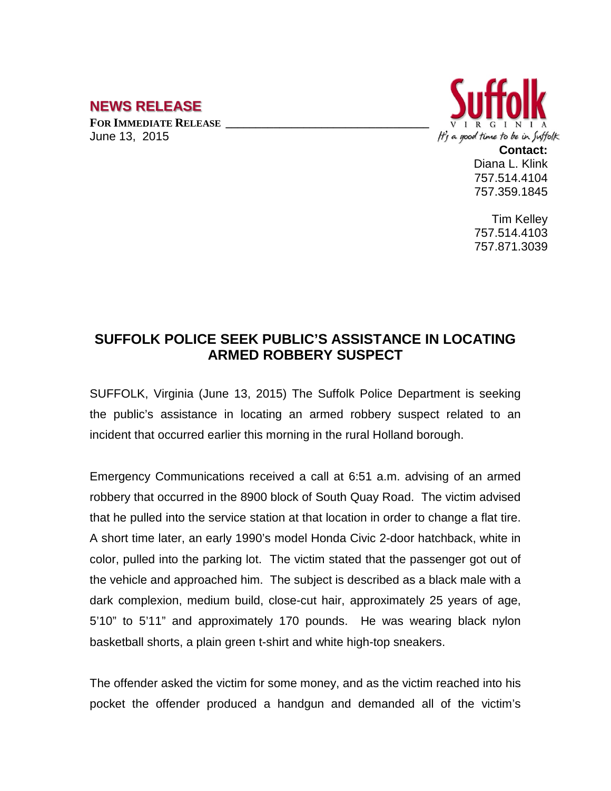## **NEWS RELEASE**

**FOR IMMEDIATE RELEASE \_\_\_\_\_\_\_\_\_\_\_\_\_\_\_\_\_\_\_\_\_\_\_\_\_\_\_\_\_\_\_\_\_\_** June 13, 2015



**Contact:** Diana L. Klink 757.514.4104 757.359.1845

Tim Kelley 757.514.4103 757.871.3039

## **SUFFOLK POLICE SEEK PUBLIC'S ASSISTANCE IN LOCATING ARMED ROBBERY SUSPECT**

SUFFOLK, Virginia (June 13, 2015) The Suffolk Police Department is seeking the public's assistance in locating an armed robbery suspect related to an incident that occurred earlier this morning in the rural Holland borough.

Emergency Communications received a call at 6:51 a.m. advising of an armed robbery that occurred in the 8900 block of South Quay Road. The victim advised that he pulled into the service station at that location in order to change a flat tire. A short time later, an early 1990's model Honda Civic 2-door hatchback, white in color, pulled into the parking lot. The victim stated that the passenger got out of the vehicle and approached him. The subject is described as a black male with a dark complexion, medium build, close-cut hair, approximately 25 years of age, 5'10" to 5'11" and approximately 170 pounds. He was wearing black nylon basketball shorts, a plain green t-shirt and white high-top sneakers.

The offender asked the victim for some money, and as the victim reached into his pocket the offender produced a handgun and demanded all of the victim's